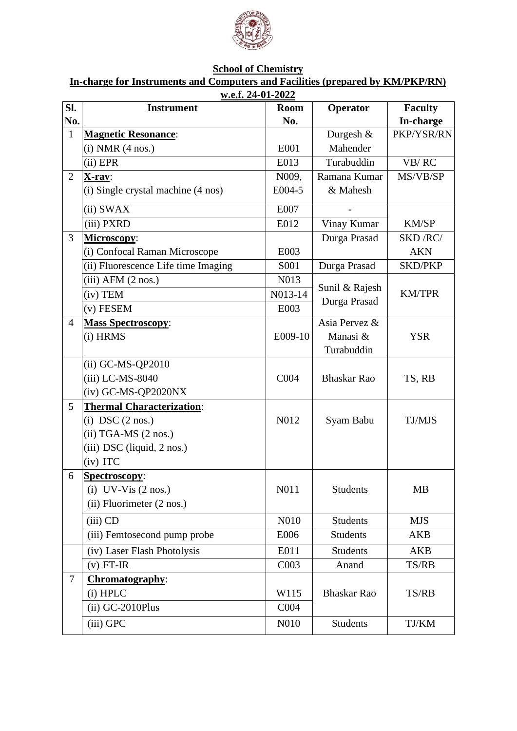

## **School of Chemistry**

## **In-charge for Instruments and Computers and Facilities (prepared by KM/PKP/RN)**

|                | w.e.f. 24-01-2022                   |                  |                                |                |  |  |  |  |
|----------------|-------------------------------------|------------------|--------------------------------|----------------|--|--|--|--|
| SI.            | <b>Instrument</b>                   | <b>Room</b>      | Operator                       | <b>Faculty</b> |  |  |  |  |
| No.            |                                     | No.              |                                | In-charge      |  |  |  |  |
| $\mathbf{1}$   | <b>Magnetic Resonance:</b>          |                  | Durgesh &                      | PKP/YSR/RN     |  |  |  |  |
|                | $(i) NMR$ $(4 nos.)$                | E001             | Mahender                       |                |  |  |  |  |
|                | $(ii)$ EPR                          | E013             | Turabuddin                     | VB/RC          |  |  |  |  |
| $\overline{2}$ | $X-ray:$                            | N009,            | Ramana Kumar                   | MS/VB/SP       |  |  |  |  |
|                | (i) Single crystal machine (4 nos)  | E004-5           | & Mahesh                       |                |  |  |  |  |
|                | (ii) SWAX                           | E007             |                                |                |  |  |  |  |
|                | (iii) PXRD                          | E012             | Vinay Kumar                    | KM/SP          |  |  |  |  |
| 3              | Microscopy:                         |                  | Durga Prasad                   | SKD/RC/        |  |  |  |  |
|                | (i) Confocal Raman Microscope       | E003             |                                | <b>AKN</b>     |  |  |  |  |
|                | (ii) Fluorescence Life time Imaging | S001             | Durga Prasad                   | <b>SKD/PKP</b> |  |  |  |  |
|                | $(iii)$ AFM $(2 \text{ nos.})$      | N013             | Sunil & Rajesh<br>Durga Prasad | <b>KM/TPR</b>  |  |  |  |  |
|                | $(iv)$ TEM                          | N013-14          |                                |                |  |  |  |  |
|                | $(v)$ FESEM                         | E003             |                                |                |  |  |  |  |
| $\overline{4}$ | <b>Mass Spectroscopy:</b>           |                  | Asia Pervez &<br>Manasi &      |                |  |  |  |  |
|                | (i) HRMS                            | E009-10          |                                | <b>YSR</b>     |  |  |  |  |
|                |                                     |                  | Turabuddin                     |                |  |  |  |  |
|                | $(ii)$ GC-MS-QP2010                 |                  |                                |                |  |  |  |  |
|                | (iii) LC-MS-8040                    | C004             | <b>Bhaskar Rao</b>             | TS, RB         |  |  |  |  |
|                | (iv) GC-MS-QP2020NX                 |                  |                                |                |  |  |  |  |
| 5              | <b>Thermal Characterization:</b>    |                  |                                |                |  |  |  |  |
|                | (i) DSC $(2 \text{ nos.})$          | N012             | Syam Babu                      | TJ/MJS         |  |  |  |  |
|                | (ii) TGA-MS (2 nos.)                |                  |                                |                |  |  |  |  |
|                | (iii) DSC (liquid, 2 nos.)          |                  |                                |                |  |  |  |  |
|                | (iv) ITC                            |                  |                                |                |  |  |  |  |
| 6              | Spectroscopy:                       |                  |                                |                |  |  |  |  |
|                | (i) UV-Vis $(2 \text{ nos.})$       | N011             | Students                       | <b>MB</b>      |  |  |  |  |
|                | (ii) Fluorimeter (2 nos.)           |                  |                                |                |  |  |  |  |
|                | $(iii)$ CD                          | N010             | Students                       | <b>MJS</b>     |  |  |  |  |
|                | (iii) Femtosecond pump probe        | E006             | <b>Students</b>                | AKB            |  |  |  |  |
|                | (iv) Laser Flash Photolysis         | E011             | <b>Students</b>                | <b>AKB</b>     |  |  |  |  |
|                | $(v)$ FT-IR                         | C003             | Anand                          | TS/RB          |  |  |  |  |
| $\tau$         | Chromatography:                     |                  | <b>Bhaskar Rao</b>             |                |  |  |  |  |
|                | $(i)$ HPLC                          | W115             |                                | TS/RB          |  |  |  |  |
|                | (ii) GC-2010Plus                    | C <sub>004</sub> |                                |                |  |  |  |  |
|                | (iii) GPC                           | N010             | <b>Students</b>                | TJ/KM          |  |  |  |  |
|                |                                     |                  |                                |                |  |  |  |  |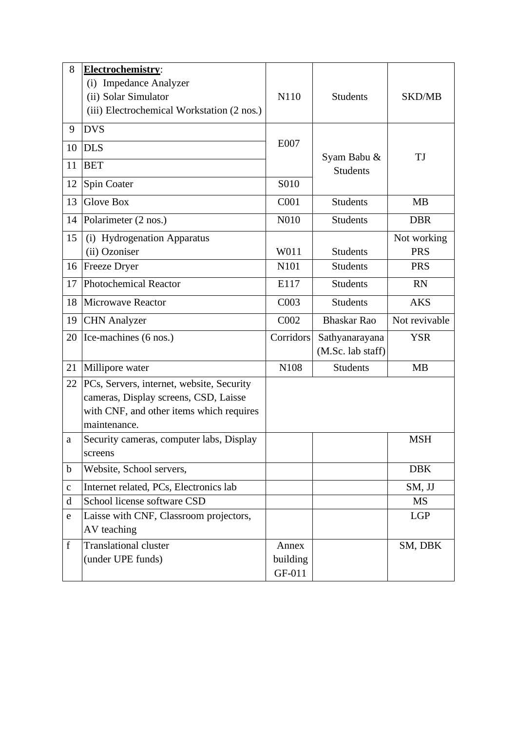| 8            | Electrochemistry:                                                                                                                              |                             |                                     |               |
|--------------|------------------------------------------------------------------------------------------------------------------------------------------------|-----------------------------|-------------------------------------|---------------|
|              | (i) Impedance Analyzer<br>(ii) Solar Simulator<br>(iii) Electrochemical Workstation (2 nos.)                                                   | N110                        | <b>Students</b>                     | <b>SKD/MB</b> |
| 9            | <b>DVS</b>                                                                                                                                     |                             |                                     |               |
| 10           | <b>DLS</b>                                                                                                                                     | E007                        |                                     |               |
| 11           | <b>BET</b>                                                                                                                                     |                             | Syam Babu &<br><b>Students</b>      | TJ            |
| 12           | Spin Coater                                                                                                                                    | S010                        |                                     |               |
| 13           | <b>Glove Box</b>                                                                                                                               | C001                        | <b>Students</b>                     | <b>MB</b>     |
| 14           | Polarimeter (2 nos.)                                                                                                                           | N010                        | <b>Students</b>                     | <b>DBR</b>    |
| 15           | (i) Hydrogenation Apparatus                                                                                                                    |                             |                                     | Not working   |
|              | (ii) Ozoniser                                                                                                                                  | W011                        | <b>Students</b>                     | <b>PRS</b>    |
| 16           | <b>Freeze Dryer</b>                                                                                                                            | N101                        | <b>Students</b>                     | <b>PRS</b>    |
| 17           | Photochemical Reactor                                                                                                                          | E117                        | <b>Students</b>                     | <b>RN</b>     |
| 18           | Microwave Reactor                                                                                                                              | C <sub>0</sub> 03           | <b>Students</b>                     | <b>AKS</b>    |
| 19           | <b>CHN</b> Analyzer                                                                                                                            | C002                        | <b>Bhaskar Rao</b>                  | Not revivable |
| 20           | Ice-machines (6 nos.)                                                                                                                          | Corridors                   | Sathyanarayana<br>(M.Sc. lab staff) | <b>YSR</b>    |
| 21           | Millipore water                                                                                                                                | N108                        | <b>Students</b>                     | <b>MB</b>     |
| 22           | PCs, Servers, internet, website, Security<br>cameras, Display screens, CSD, Laisse<br>with CNF, and other items which requires<br>maintenance. |                             |                                     |               |
| a            | Security cameras, computer labs, Display<br>screens                                                                                            |                             |                                     | <b>MSH</b>    |
| $\mathbf b$  | Website, School servers,                                                                                                                       |                             |                                     | <b>DBK</b>    |
| $\mathbf{C}$ | Internet related, PCs, Electronics lab                                                                                                         |                             |                                     | SM, JJ        |
| d            | School license software CSD                                                                                                                    |                             |                                     | <b>MS</b>     |
| e            | Laisse with CNF, Classroom projectors,<br>AV teaching                                                                                          |                             |                                     | <b>LGP</b>    |
| f            | <b>Translational cluster</b><br>(under UPE funds)                                                                                              | Annex<br>building<br>GF-011 |                                     | SM, DBK       |